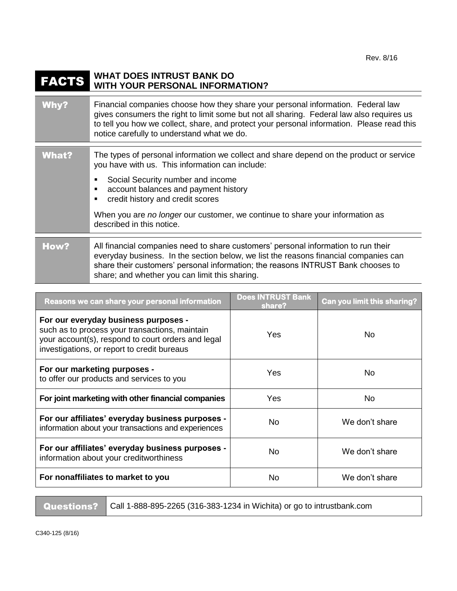## FACTS **WHAT DOES INTRUST BANK DO WITH YOUR PERSONAL INFORMATION?**

| Why?         | Financial companies choose how they share your personal information. Federal law<br>gives consumers the right to limit some but not all sharing. Federal law also requires us<br>to tell you how we collect, share, and protect your personal information. Please read this<br>notice carefully to understand what we do.                                                                |
|--------------|------------------------------------------------------------------------------------------------------------------------------------------------------------------------------------------------------------------------------------------------------------------------------------------------------------------------------------------------------------------------------------------|
| <b>What?</b> | The types of personal information we collect and share depend on the product or service<br>you have with us. This information can include:<br>Social Security number and income<br>п<br>account balances and payment history<br>п<br>credit history and credit scores<br>п<br>When you are no longer our customer, we continue to share your information as<br>described in this notice. |
| How?         | All financial companies need to share customers' personal information to run their<br>everyday business. In the section below, we list the reasons financial companies can<br>share their customers' personal information; the reasons INTRUST Bank chooses to<br>share; and whether you can limit this sharing.                                                                         |

| Reasons we can share your personal information                                                                                                                                              | <b>Does INTRUST Bank</b><br>share? | Can you limit this sharing? |
|---------------------------------------------------------------------------------------------------------------------------------------------------------------------------------------------|------------------------------------|-----------------------------|
| For our everyday business purposes -<br>such as to process your transactions, maintain<br>your account(s), respond to court orders and legal<br>investigations, or report to credit bureaus | Yes                                | No.                         |
| For our marketing purposes -<br>to offer our products and services to you                                                                                                                   | Yes                                | No.                         |
| For joint marketing with other financial companies                                                                                                                                          | Yes                                | No.                         |
| For our affiliates' everyday business purposes -<br>information about your transactions and experiences                                                                                     | No                                 | We don't share              |
| For our affiliates' everyday business purposes -<br>information about your creditworthiness                                                                                                 | No                                 | We don't share              |
| For nonaffiliates to market to you                                                                                                                                                          | No                                 | We don't share              |

Questions? | Call 1-888-895-2265 (316-383-1234 in Wichita) or go to intrustbank.com